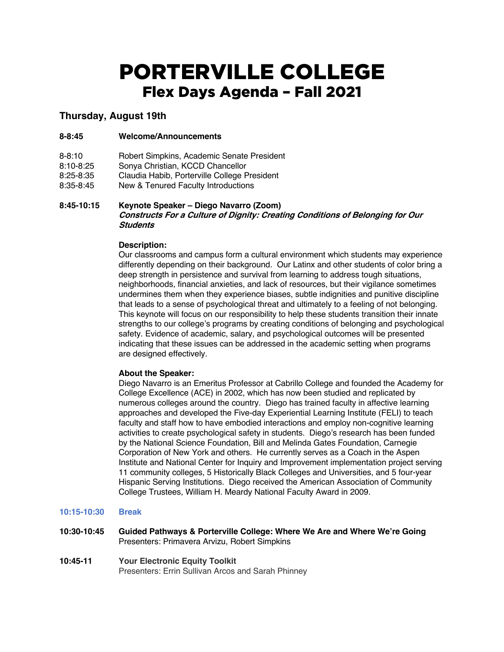# PORTERVILLE COLLEGE Flex Days Agenda – Fall 2021

# **Thursday, August 19th**

## **8-8:45 Welcome/Announcements**

- 8-8:10 Robert Simpkins, Academic Senate President
- 8:10-8:25 Sonya Christian, KCCD Chancellor
- 8:25-8:35 Claudia Habib, Porterville College President<br>8:35-8:45 New & Tenured Faculty Introductions
- New & Tenured Faculty Introductions

# **8:45-10:15 Keynote Speaker – Diego Navarro (Zoom) Constructs For a Culture of Dignity: Creating Conditions of Belonging for Our Students**

## **Description:**

Our classrooms and campus form a cultural environment which students may experience differently depending on their background. Our Latinx and other students of color bring a deep strength in persistence and survival from learning to address tough situations, neighborhoods, financial anxieties, and lack of resources, but their vigilance sometimes undermines them when they experience biases, subtle indignities and punitive discipline that leads to a sense of psychological threat and ultimately to a feeling of not belonging. This keynote will focus on our responsibility to help these students transition their innate strengths to our college's programs by creating conditions of belonging and psychological safety. Evidence of academic, salary, and psychological outcomes will be presented indicating that these issues can be addressed in the academic setting when programs are designed effectively.

#### **About the Speaker:**

Diego Navarro is an Emeritus Professor at Cabrillo College and founded the Academy for College Excellence (ACE) in 2002, which has now been studied and replicated by numerous colleges around the country. Diego has trained faculty in affective learning approaches and developed the Five-day Experiential Learning Institute (FELI) to teach faculty and staff how to have embodied interactions and employ non-cognitive learning activities to create psychological safety in students. Diego's research has been funded by the National Science Foundation, Bill and Melinda Gates Foundation, Carnegie Corporation of New York and others. He currently serves as a Coach in the Aspen Institute and National Center for Inquiry and Improvement implementation project serving 11 community colleges, 5 Historically Black Colleges and Universities, and 5 four-year Hispanic Serving Institutions. Diego received the American Association of Community College Trustees, William H. Meardy National Faculty Award in 2009.

## **10:15-10:30 Break**

- **10:30-10:45 Guided Pathways & Porterville College: Where We Are and Where We're Going** Presenters: Primavera Arvizu, Robert Simpkins
- **10:45-11 Your Electronic Equity Toolkit** Presenters: Errin Sullivan Arcos and Sarah Phinney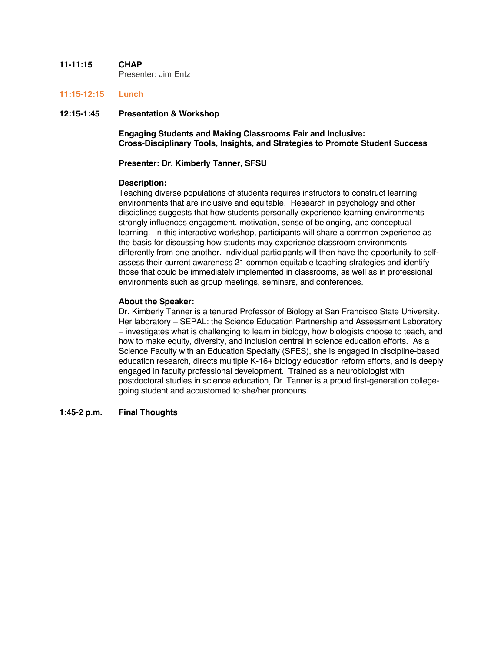#### **11-11:15 CHAP** Presenter: Jim Entz

#### **11:15-12:15 Lunch**

# **12:15-1:45 Presentation & Workshop**

**Engaging Students and Making Classrooms Fair and Inclusive: Cross-Disciplinary Tools, Insights, and Strategies to Promote Student Success**

#### **Presenter: Dr. Kimberly Tanner, SFSU**

#### **Description:**

Teaching diverse populations of students requires instructors to construct learning environments that are inclusive and equitable. Research in psychology and other disciplines suggests that how students personally experience learning environments strongly influences engagement, motivation, sense of belonging, and conceptual learning. In this interactive workshop, participants will share a common experience as the basis for discussing how students may experience classroom environments differently from one another. Individual participants will then have the opportunity to selfassess their current awareness 21 common equitable teaching strategies and identify those that could be immediately implemented in classrooms, as well as in professional environments such as group meetings, seminars, and conferences.

#### **About the Speaker:**

Dr. Kimberly Tanner is a tenured Professor of Biology at San Francisco State University. Her laboratory – SEPAL: the Science Education Partnership and Assessment Laboratory – investigates what is challenging to learn in biology, how biologists choose to teach, and how to make equity, diversity, and inclusion central in science education efforts. As a Science Faculty with an Education Specialty (SFES), she is engaged in discipline-based education research, directs multiple K-16+ biology education reform efforts, and is deeply engaged in faculty professional development. Trained as a neurobiologist with postdoctoral studies in science education, Dr. Tanner is a proud first-generation collegegoing student and accustomed to she/her pronouns.

#### **1:45-2 p.m. Final Thoughts**